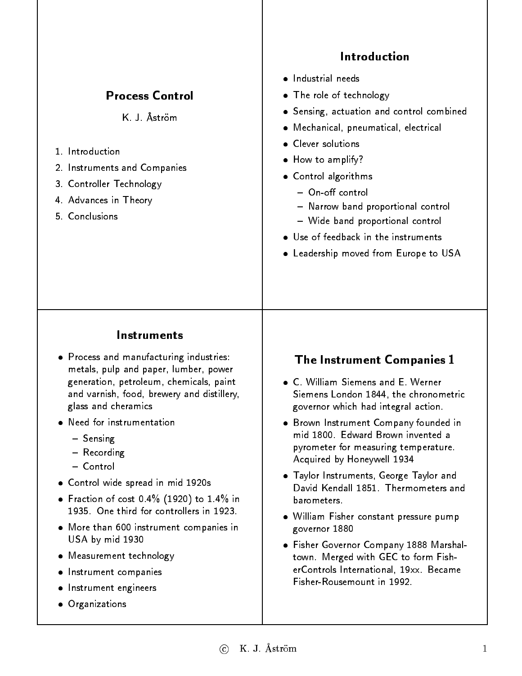|                                                                                                                                                                                                                                                                                                                            | Introduction                                                                                                                                                                                                                                                                                                                                           |
|----------------------------------------------------------------------------------------------------------------------------------------------------------------------------------------------------------------------------------------------------------------------------------------------------------------------------|--------------------------------------------------------------------------------------------------------------------------------------------------------------------------------------------------------------------------------------------------------------------------------------------------------------------------------------------------------|
| <b>Process Control</b>                                                                                                                                                                                                                                                                                                     | · Industrial needs<br>• The role of technology                                                                                                                                                                                                                                                                                                         |
| K. J. Åström<br>1 Introduction<br>2. Instruments and Companies<br>3. Controller Technology<br>4. Advances in Theory<br>5. Conclusions                                                                                                                                                                                      | • Sensing, actuation and control combined<br>· Mechanical, pneumatical, electrical<br>• Clever solutions<br>• How to amplify?<br>• Control algorithms<br>$-$ On-off control<br>- Narrow band proportional control<br>- Wide band proportional control<br>• Use of feedback in the instruments<br>• Leadership moved from Europe to USA                 |
| Instruments<br>• Process and manufacturing industries:<br>metals, pulp and paper, lumber, power<br>generation, petroleum, chemicals, paint<br>and varnish, food, brewery and distillery,<br>glass and cheramics<br>Need for instrumentation<br>- Sensing<br>- Recording<br>- Control<br>• Control wide spread in mid 1920s | <b>The Instrument Companies 1</b><br>• C. William Siemens and E. Werner<br>Siemens London 1844, the chronometric<br>governor which had integral action.<br>• Brown Instrument Company founded in<br>mid 1800. Edward Brown invented a<br>pyrometer for measuring temperature.<br>Acquired by Honeywell 1934<br>• Taylor Instruments, George Taylor and |
| • Fraction of cost $0.4\%$ (1920) to 1.4% in<br>1935. One third for controllers in 1923.<br>• More than 600 instrument companies in<br>USA by mid 1930<br>• Measurement technology<br>Instrument companies<br>Instrument engineers<br>• Organizations                                                                      | David Kendall 1851. Thermometers and<br>barometers.<br>. William Fisher constant pressure pump<br>governor 1880<br>• Fisher Governor Company 1888 Marshal-<br>town. Merged with GEC to form Fish-<br>erControls International, 19xx. Became<br>Fisher-Rousemount in 1992.                                                                              |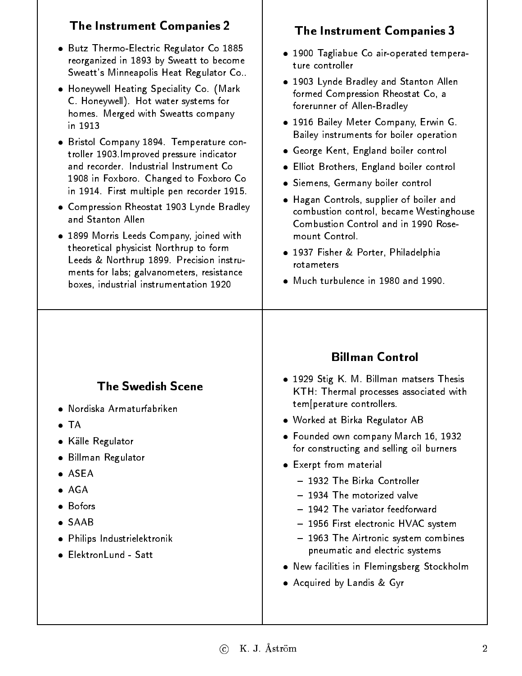| <b>The Instrument Companies 2</b>                                                                                                                                                                                                                                                                                                                                                                                                                                                                                                                                                                                                                                                                                                                                                        | <b>The Instrument Companies 3</b>                                                                                                                                                                                                                                                                                                                                                                                                                                                                                                                                                                                                               |
|------------------------------------------------------------------------------------------------------------------------------------------------------------------------------------------------------------------------------------------------------------------------------------------------------------------------------------------------------------------------------------------------------------------------------------------------------------------------------------------------------------------------------------------------------------------------------------------------------------------------------------------------------------------------------------------------------------------------------------------------------------------------------------------|-------------------------------------------------------------------------------------------------------------------------------------------------------------------------------------------------------------------------------------------------------------------------------------------------------------------------------------------------------------------------------------------------------------------------------------------------------------------------------------------------------------------------------------------------------------------------------------------------------------------------------------------------|
| • Butz Thermo-Electric Regulator Co 1885<br>reorganized in 1893 by Sweatt to become<br>Sweatt's Minneapolis Heat Regulator Co<br>• Honeywell Heating Speciality Co. (Mark<br>C. Honeywell). Hot water systems for<br>homes. Merged with Sweatts company<br>in 1913<br>• Bristol Company 1894. Temperature con-<br>troller 1903. Improved pressure indicator<br>and recorder. Industrial Instrument Co<br>1908 in Foxboro. Changed to Foxboro Co<br>in 1914. First multiple pen recorder 1915.<br>• Compression Rheostat 1903 Lynde Bradley<br>and Stanton Allen<br>. 1899 Morris Leeds Company, joined with<br>theoretical physicist Northrup to form<br>Leeds & Northrup 1899. Precision instru-<br>ments for labs; galvanometers, resistance<br>boxes, industrial instrumentation 1920 | · 1900 Tagliabue Co air-operated tempera-<br>ture controller<br>. 1903 Lynde Bradley and Stanton Allen<br>formed Compression Rheostat Co, a<br>forerunner of Allen-Bradley<br>. 1916 Bailey Meter Company, Erwin G.<br>Bailey instruments for boiler operation<br>• George Kent, England boiler control<br><b>•</b> Elliot Brothers, England boiler control<br>· Siemens, Germany boiler control<br>. Hagan Controls, supplier of boiler and<br>combustion control, became Westinghouse<br>Combustion Control and in 1990 Rose-<br>mount Control.<br>• 1937 Fisher & Porter, Philadelphia<br>rota meters<br>• Much turbulence in 1980 and 1990. |
| <b>The Swedish Scene</b><br>· Nordiska Armaturfabriken<br>$\bullet$ TA<br>• Källe Regulator<br>• Billman Regulator<br>• ASEA<br>$\bullet$ AGA<br>• Bofors<br>$\bullet$ SAAB<br>· Philips Industrielektronik<br>• ElektronLund - Satt                                                                                                                                                                                                                                                                                                                                                                                                                                                                                                                                                     | <b>Billman Control</b><br>. 1929 Stig K. M. Billman matsers Thesis<br>KTH: Thermal processes associated with<br>tem perature controllers.<br>• Worked at Birka Regulator AB<br>• Founded own company March 16, 1932<br>for constructing and selling oil burners<br>• Exerpt from material<br>- 1932 The Birka Controller<br>- 1934 The motorized valve<br>- 1942 The variator feedforward<br>- 1956 First electronic HVAC system<br>- 1963 The Airtronic system combines<br>pneumatic and electric systems<br>. New facilities in Flemingsberg Stockholm<br>• Acquired by Landis & Gyr                                                          |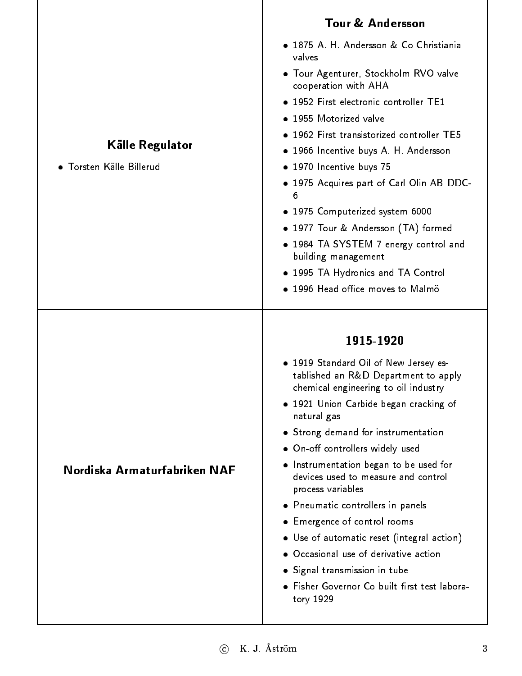|                              | <b>Tour &amp; Andersson</b>                                                                                           |
|------------------------------|-----------------------------------------------------------------------------------------------------------------------|
|                              | • 1875 A. H. Andersson & Co Christiania<br>valves                                                                     |
|                              | • Tour Agenturer, Stockholm RVO valve<br>cooperation with AHA                                                         |
|                              | • 1952 First electronic controller TE1                                                                                |
|                              | · 1955 Motorized valve                                                                                                |
|                              | · 1962 First transistorized controller TE5                                                                            |
| Källe Regulator              | • 1966 Incentive buys A. H. Andersson                                                                                 |
| • Torsten Källe Billerud     | • 1970 Incentive buys 75                                                                                              |
|                              | . 1975 Acquires part of Carl Olin AB DDC-<br>6                                                                        |
|                              | • 1975 Computerized system 6000                                                                                       |
|                              | • 1977 Tour & Andersson (TA) formed                                                                                   |
|                              | • 1984 TA SYSTEM 7 energy control and<br>building management                                                          |
|                              | • 1995 TA Hydronics and TA Control                                                                                    |
|                              | · 1996 Head office moves to Malmö                                                                                     |
|                              |                                                                                                                       |
|                              |                                                                                                                       |
|                              | 1915-1920                                                                                                             |
|                              | • 1919 Standard Oil of New Jersey es-<br>tablished an R&D Department to apply<br>chemical engineering to oil industry |
|                              | . 1921 Union Carbide began cracking of<br>natural gas                                                                 |
|                              | • Strong demand for instrumentation                                                                                   |
|                              | • On-off controllers widely used                                                                                      |
| Nordiska Armaturfabriken NAF | • Instrumentation began to be used for<br>devices used to measure and control<br>process variables                    |
|                              | • Pneumatic controllers in panels                                                                                     |
|                              | • Emergence of control rooms                                                                                          |
|                              | • Use of automatic reset (integral action)                                                                            |
|                              | • Occasional use of derivative action                                                                                 |
|                              | · Signal transmission in tube                                                                                         |
|                              | • Fisher Governor Co built first test labora-<br>tory 1929                                                            |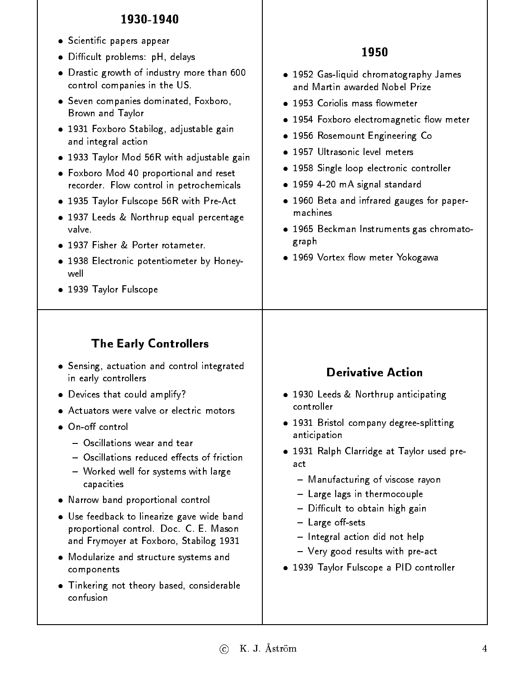#### 1930-1940

- **•** Scientific papers appear
- Difficult problems: pH, delays
- Drastic growth of industry more than 600 control companies in the US.
- Seven companies dominated, Foxboro, Brown and Taylor
- 1931 Foxboro Stabilog, adjustable gain and integral action
- 1933 Taylor Mod 56R with adjustable gain
- Foxboro Mod 40 proportional and reset recorder. Flow control in petrochemicals
- 1935 Taylor Fulscope 56R with Pre-Act
- 1937 Leeds & Northrup equal percentage valve.
- 1937 Fisher & Porter rotameter. 1937 Fisher & Porter rotameter.
- 1938 Electronic potentiometer by Honeywell
- 1939 Taylor Fulscope

## The Early Controllers

- Sensing, actuation and control integrated in early controllers
- Devices that could amplify?
- Actuators were valve or electric motors
- $\bullet$  On-off control
	- $-$  Oscillations wear and tear
	- Oscillations reduced effects of friction  $\bullet$  . The friction of frictions of frictions of frictions of  $\bullet$
	- Worked well for systems with large capacities
- Narrow band proportional control
- Use feedback to linearize gave wide band proportional control. Doc. C. E. Mason and Frymoyer at Foxboro, Stabilog 1931
- Modularize and structure systems and components
- Tinkering not theory based, considerable confusion

#### 1950

- 1952 Gas-liquid chromatography James
- 
- 1954 Foxboro electromagnetic flow meter
- 1956 Rosemount Engineering Co
- · 1957 Ultrasonic level meters
- 1958 Single loop electronic controller
- 1959 4-20 mA signal standard
- 1960 Beta and infrared gauges for papermachines
- 1965 Beckman Instruments gas chromatograph
- 1969 Vortex flow meter Yokogawa

#### **Derivative Action**

- 1930 Leeds & Northrup anticipating controller
- 1931 Bristol company degree-splitting anticipation
- 1931 Ralph Clarridge at Taylor used preact
	- { Manufacturing of viscose rayon
	- Large lags in thermocouple
	- Difficult to obtain high gain
	- Large off-sets
	- Integral action did not help
	- Very good results with pre-act
- 1939 Taylor Fulscope a PID controller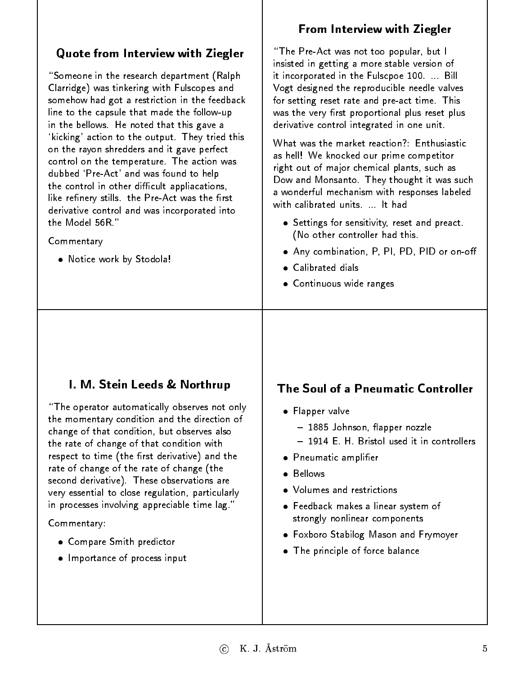## Quote from Interview with Ziegler

"Someone in the research department (Ralph) Clarridge) was tinkering with Fulscopes and somehow had got a restriction in the feedback line to the capsule that made the follow-up in the bellows. He noted that this gave a `kicking' action to the output. They tried this on the rayon shredders and it gave perfect control on the temperature. The action was dubbed `Pre-Act' and was found to help the control in other difficult appliacations, like refinery stills. the Pre-Act was the first derivative control and was incorporated into the Model 56R."

#### Commentary

Notice work by Stodola!

#### From Interview with Ziegler

"The Pre-Act was not too popular, but I insisted in getting a more stable version of it incorporated in the Fulscpoe 100. ... Bill Vogt designed the reproducible needle valves for setting reset rate and pre-act time. This was the very first proportional plus reset plus derivative control integrated in one unit.

as hell! We knocked our prime competitor right out of major chemical plants, such as Dow and Monsanto. They thought it was such a wonderful mechanism with responses labeled a wonderful mechanism with responses labeled in with calibrated units. ... It had

- **Settings for sensitivity, reset and preact.** (No other controller had this.
- Any combination, P, PI, PD, PID or on-o
- 
- Continuous wide ranges

#### I. M. Stein Leeds & Northrup

"The operator automatically observes not only the momentary condition and the direction of change of that condition, but observes also the rate of change of that condition with respect to time (the first derivative) and the rate of change of the rate of change (the second derivative). These observations are very essential to close regulation, particularly in processes involving appreciable time lag."

Commentary:

- Compare Smith predictor
- **•** Importance of process input

#### The Soul of a Pneumatic Controller

- **•** Flapper valve
	- 1885 Johnson, flapper nozzle
	- 1914 E. H. Bristol used it in controllers
- Pneumatic amplier
- Bellows
- Volumes and restrictions
- Feedback makes a linear system of strongly nonlinear components
- Foxboro Stabilog Mason and Frymoyer
- The principle of force balance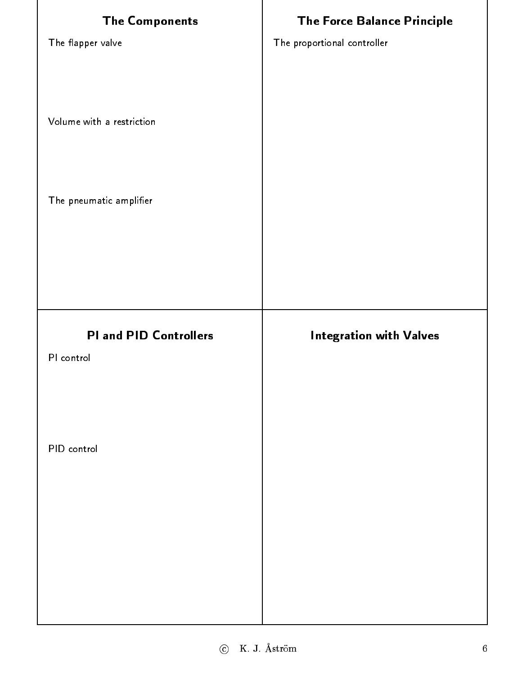| <b>The Components</b>         | <b>The Force Balance Principle</b> |
|-------------------------------|------------------------------------|
| The flapper valve             | The proportional controller        |
|                               |                                    |
|                               |                                    |
| Volume with a restriction     |                                    |
|                               |                                    |
| The pneumatic amplifier       |                                    |
|                               |                                    |
|                               |                                    |
|                               |                                    |
|                               |                                    |
|                               |                                    |
| <b>PI and PID Controllers</b> | <b>Integration with Valves</b>     |
| PI control                    |                                    |
|                               |                                    |
|                               |                                    |
| PID control                   |                                    |
|                               |                                    |
|                               |                                    |
|                               |                                    |
|                               |                                    |
|                               |                                    |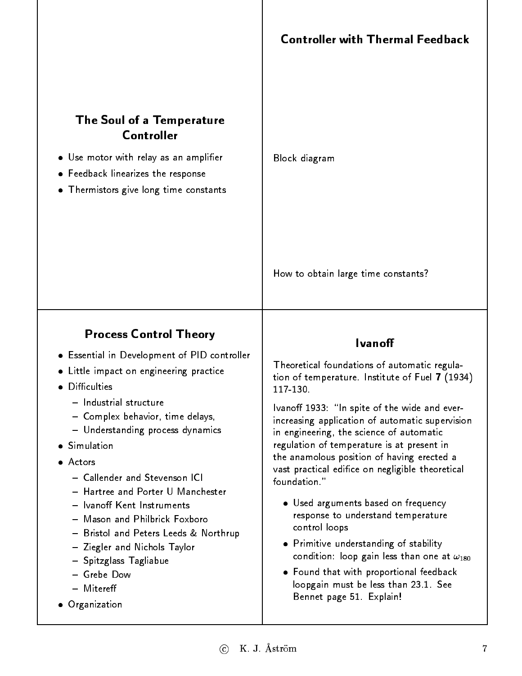## The Soul of a Temperature Controller

- Use motor with relay as an amplier
- Feedback linearizes the response
- Thermistors give long time constants

Block diagram

How to obtain large time constants?

## Process Control Theory

- Essential in Development of PID controller
- Little impact on engineering practice
- · Difficulties
	- Industrial structure
	- { Complex behavior, time delays,
	- Understanding process dynamics
- **Simulation**
- Actors
	- Callender and Stevenson ICI
	-
	- Ivanoff Kent Instruments
	- Mason and Philbrick Foxboro
	- Bristol and Peters Leeds & Northrup
	- $-$  Ziegler and Nichols Taylor
	- Spitzglass Tagliabue
	- $-$  Grebe Dow { Grebe Dow
	- Mitereff { Mitere
- Organization

#### **Ivanoff**

Theoretical foundations of automatic regulation of temperature. Institute of Fuel <sup>7</sup> (1934)

Ivanoff 1933: "In spite of the wide and everincreasing application of automatic supervision in engineering, the science of automatic regulation of temperature is at present in the anamolous position of having erected a vast practical edifice on negligible theoretical foundation."

- Used arguments based on frequency response to understand temperature control loops
- Primitive understanding of stability condition: loop gain less than one at  $\omega_{180}$
- Found that with proportional feedback loopgain must be less than 23.1. See Bennet page 51. Explain!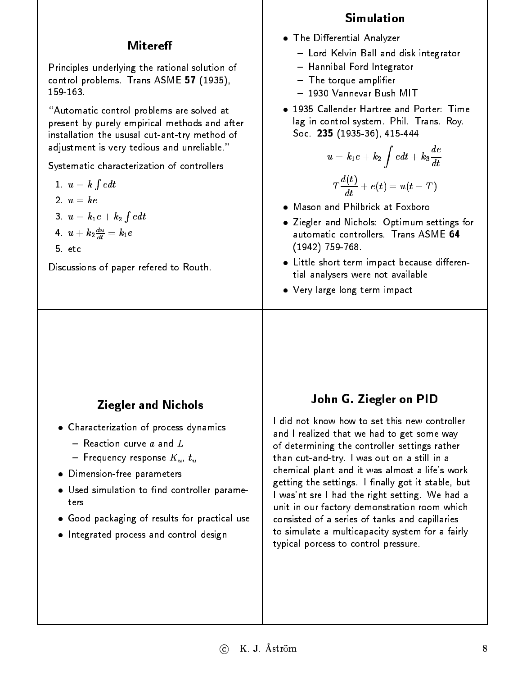## Mitereff

Principles underlying the rational solution of control problems. Trans ASME 57 (1935), 159 163.

"Automatic control problems are solved at present by purely empirical methods and after installation the ususal cut-ant-try method of adjustment is very tedious and unreliable."

Systematic characterization of controllers

$$
1. \ \ u=k\int e dt
$$

$$
2. \, u = ke
$$

$$
3. u = k_1 e + k_2 \int e dt
$$

$$
4.\ \ u+k_{2}\tfrac{du}{dt}=k_{1}e
$$

5. etc

Discussions of paper refered to Routh.

#### **Simulation**

- **The Differential Analyzer** 
	- Lord Kelvin Ball and disk integrator
	- Hannibal Ford Integrator
	- $-$  The torque amplifier
	- 1930 Vannevar Bush MIT
- . 1935 Callender Hartree and Porter: Time lag in control system. Phil. Trans. Roy. Soc. <sup>235</sup> (1935-36), 415-444

$$
u=k_1e+k_2\int edt+k_3\frac{de}{dt}
$$
  

$$
T\frac{d(t)}{dt}+e(t)=u(t-T)
$$

- Mason and Philbrick at Foxboro
- Ziegler and Nichols: Optimum settings for automatic controllers. Trans  $\mathsf{ASME}\ \mathbf{64}$ (1942) 759-768.
- Little short term impact because differential analysers were not available tial analyses were not available to the control of the control of the control of the control of the control of
- Very large long term impact

# Ziegler and Nichols

- Characterization of process dynamics
	- $-$  Reaction curve  $a$  and  $L$
	- Frequency response  $K_u$ ,  $t_u$
- Dimension-free parameters
- $\bullet$  Used simulation to find controller parameters
- Good packaging of results for practical use
- **•** Integrated process and control design

#### John G. Ziegler on PID

I did not know how to set this new controller and I realized that we had to get some way of determining the controller settings rather than cut-and-try. Iwas out on a still in a chemical plant and it was almost a life's work getting the settings. I finally got it stable, but I was'nt sre I had the right setting. We had a unit in our factory demonstration room which consisted of a series of tanks and capillaries to simulate a multicapacity system for a fairly typical porcess to control pressure.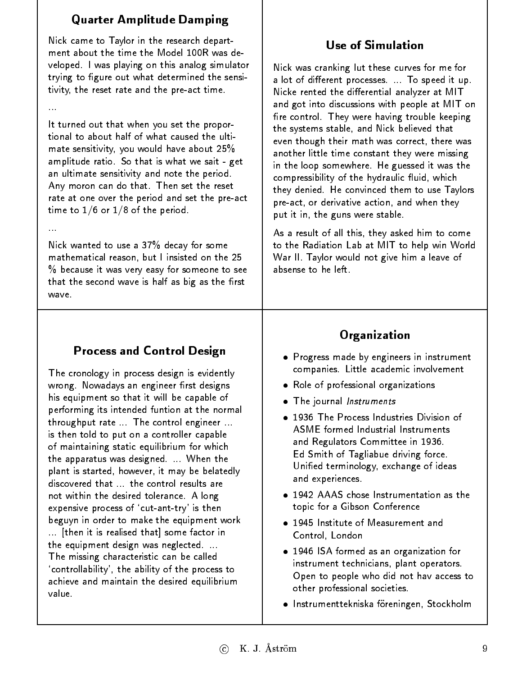## Quarter Amplitude Damping

Nick came to Taylor in the research department about the time the Model 100R was developed. I was playing on this analog simulator trying to figure out what determined the sensitivity, the reset rate and the pre-act time.

It turned out that when you set the proportional to about half of what caused the ultimate sensitivity, you would have about 25% amplitude ratio. So that is what we sait - get an ultimate sensitivity and note the period. Any moron can do that. Then set the reset Any moron can do that. Then set the reset rate at one over the period and set the pre-act time to  $1/6$  or  $1/8$  of the period.

Nick wanted to use a 37% decay for some mathematical reason, but I insisted on the 25 mathematical reason, but I insisted on the 25  $\%$  because it was very easy for someone to see that the second wave is half as big as the first wave.

# Process and Control Design

The cronology in process design is evidently wrong. Nowadays an engineer first designs his equipment so that it will be capable of performing its intended funtion at the normal throughput rate ... The control engineer ... is then told to put on a controller capable of maintaining static equilibrium for which the apparatus was designed. ... When the plant is started, however, it may be belatedly discovered that ... the control results are not within the desired tolerance. A long expensive process of `cut-ant-try' is then beguyn in order to make the equipment work ... [then it is realised that] some factor in the equipment design was neglected. ... The missing characteristic can be called `controllability', the ability of the process to achieve and maintain the desired equilibrium value.

## **Use of Simulation**

Nick was cranking lut these curves for me for a lot of different processes. ... To speed it up. Nicke rented the dierential analyzer at MIT and got into discussions with people at MIT on fire control. They were having trouble keeping the systems stable, and Nick believed that the systems stable, and Nick believed that even though their math was correct, there was another little time constant they were missing in the loop somewhere. He guessed it was the compressibility of the hydraulic fluid, which they denied. He convinced them to use Taylors pre-act, or derivative action, and when they put it in, the guns were stable.

As a result of all this, they asked him to come to the Radiation Lab at MIT to help win World War II. Taylor would not give him a leave of absense to he left

# **Organization**

- Progress made by engineers in instrument companies. Little academic involvement
- Role of professional organizations
- The journal Instruments
- 1936 The Process Industries Division of ASME formed Industrial Instruments and Regulators Committee in 1936. Ed Smith of Tagliabue driving force. Unified terminology, exchange of ideas and experiences.
- 1942 AAAS chose Instrumentation as the topic for a Gibson Conference
- . 1945 Institute of Measurement and Control, London
- 1946 ISA formed as an organization for instrument technicians, plant operators. Open to people who did not hav access to other professional societies.
- Instrumenttekniska föreningen, Stockholm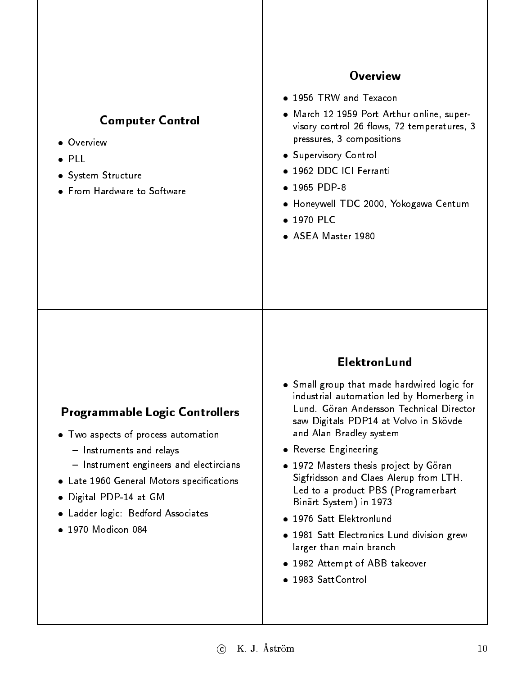| <b>Computer Control</b><br>• Overview<br>$\bullet$ PLL<br>• System Structure<br>• From Hardware to Software                                                                                                                                                                                 | <b>Overview</b><br>• 1956 TRW and Texacon<br>• March 12 1959 Port Arthur online, super-<br>visory control 26 flows, 72 temperatures, 3<br>pressures, 3 compositions<br>• Supervisory Control<br>· 1962 DDC ICI Ferranti<br>$• 1965$ PDP-8<br>• Honeywell TDC 2000, Yokogawa Centum<br>$\bullet$ 1970 PLC<br>• ASEA Master 1980                                                                                                                                                                                                                                             |
|---------------------------------------------------------------------------------------------------------------------------------------------------------------------------------------------------------------------------------------------------------------------------------------------|----------------------------------------------------------------------------------------------------------------------------------------------------------------------------------------------------------------------------------------------------------------------------------------------------------------------------------------------------------------------------------------------------------------------------------------------------------------------------------------------------------------------------------------------------------------------------|
| <b>Programmable Logic Controllers</b><br>• Two aspects of process automation<br>- Instruments and relays<br>- Instrument engineers and electircians<br>Late 1960 General Motors specifications<br>$\bullet$<br>Digital PDP-14 at GM<br>Ladder logic: Bedford Associates<br>1970 Modicon 084 | <b>ElektronLund</b><br>• Small group that made hardwired logic for<br>industrial automation led by Homerberg in<br>Lund. Göran Andersson Technical Director<br>saw Digitals PDP14 at Volvo in Skövde<br>and Alan Bradley system<br>· Reverse Engineering<br>• 1972 Masters thesis project by Göran<br>Sigfridsson and Claes Alerup from LTH.<br>Led to a product PBS (Programerbart<br>Binärt System) in 1973<br>· 1976 Satt Elektronlund<br>. 1981 Satt Electronics Lund division grew<br>larger than main branch<br>• 1982 Attempt of ABB takeover<br>· 1983 SattControl |